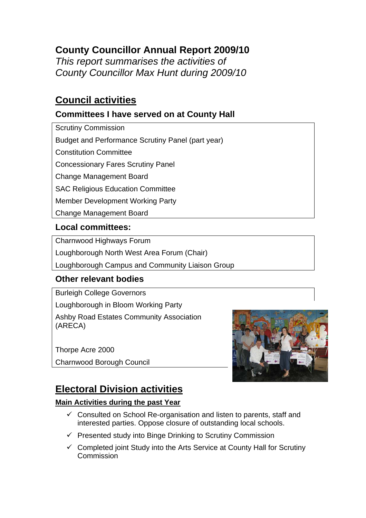# **County Councillor Annual Report 2009/10**

*This report summarises the activities of County Councillor Max Hunt during 2009/10* 

## **Council activities**

## **Committees I have served on at County Hall**

Scrutiny Commission Budget and Performance Scrutiny Panel (part year) Constitution Committee Concessionary Fares Scrutiny Panel Change Management Board SAC Religious Education Committee Member Development Working Party Change Management Board

## **Local committees:**

Charnwood Highways Forum

Loughborough North West Area Forum (Chair)

Loughborough Campus and Community Liaison Group

## **Other relevant bodies**

Burleigh College Governors Loughborough in Bloom Working Party

Ashby Road Estates Community Association (ARECA)

Thorpe Acre 2000 Charnwood Borough Council



# **Electoral Division activities**

### **Main Activities during the past Year**

- $\checkmark$  Consulted on School Re-organisation and listen to parents, staff and interested parties. Oppose closure of outstanding local schools.
- $\checkmark$  Presented study into Binge Drinking to Scrutiny Commission
- $\checkmark$  Completed joint Study into the Arts Service at County Hall for Scrutiny Commission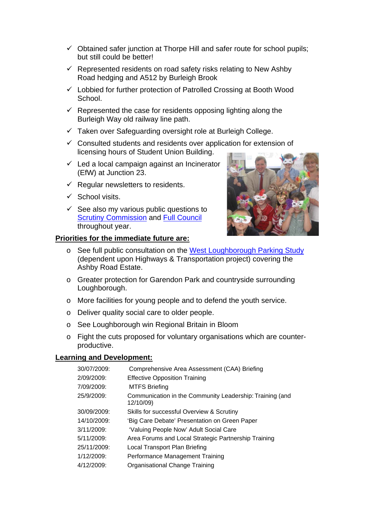- $\checkmark$  Obtained safer junction at Thorpe Hill and safer route for school pupils; but still could be better!
- $\checkmark$  Represented residents on road safety risks relating to New Ashby Road hedging and A512 by Burleigh Brook
- $\checkmark$  Lobbied for further protection of Patrolled Crossing at Booth Wood School.
- $\checkmark$  Represented the case for residents opposing lighting along the Burleigh Way old railway line path.
- $\checkmark$  Taken over Safeguarding oversight role at Burleigh College.
- $\checkmark$  Consulted students and residents over application for extension of licensing hours of Student Union Building.
- $\checkmark$  Led a local campaign against an Incinerator (EfW) at Junction 23.
- $\checkmark$  Regular newsletters to residents.
- $\checkmark$  School visits.
- $\checkmark$  See also my various public questions to [Scrutiny Commission](http://politics.leics.gov.uk/ieListMeetings.aspx?CommitteeId=137) and [Full Council](http://politics.leics.gov.uk/ieListMeetings.aspx?CommitteeId=134) throughout year.

#### **Priorities for the immediate future are:**



- o See full public consultation on the [West Loughborough Parking Study](http://politics.leics.gov.uk/ieListDocuments.aspx?CId=699&MID=2247) (dependent upon Highways & Transportation project) covering the Ashby Road Estate.
- o Greater protection for Garendon Park and countryside surrounding Loughborough.
- o More facilities for young people and to defend the youth service.
- o Deliver quality social care to older people.
- o See Loughborough win Regional Britain in Bloom
- o Fight the cuts proposed for voluntary organisations which are counterproductive.

#### **Learning and Development:**

| 30/07/2009:   | Comprehensive Area Assessment (CAA) Briefing                          |
|---------------|-----------------------------------------------------------------------|
| 2/09/2009:    | <b>Effective Opposition Training</b>                                  |
| 7/09/2009:    | <b>MTFS Briefing</b>                                                  |
| 25/9/2009:    | Communication in the Community Leadership: Training (and<br>12/10/09) |
| 30/09/2009:   | Skills for successful Overview & Scrutiny                             |
| 14/10/2009:   | 'Big Care Debate' Presentation on Green Paper                         |
| $3/11/2009$ : | 'Valuing People Now' Adult Social Care                                |
| 5/11/2009:    | Area Forums and Local Strategic Partnership Training                  |
| 25/11/2009:   | Local Transport Plan Briefing                                         |
| 1/12/2009:    | Performance Management Training                                       |
| 4/12/2009:    | Organisational Change Training                                        |
|               |                                                                       |